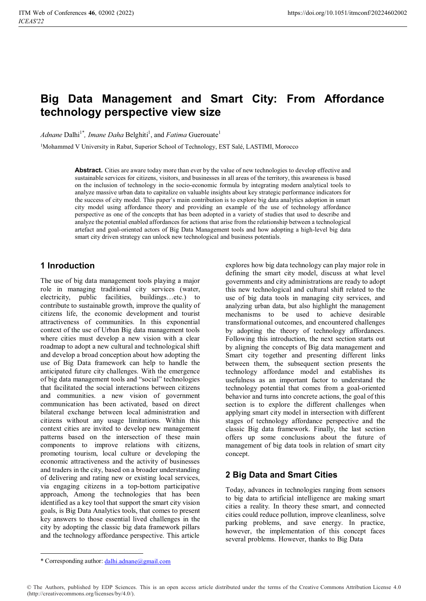# **Big Data Management and Smart City: From Affordance technology perspective view size**

*Adnane* Dalhi<sup>1\*</sup>, *Imane Daha* Belghiti<sup>1</sup>, and *Fatima* Guerouate<sup>1</sup>

1Mohammed V University in Rabat, Superior School of Technology, EST Salé, LASTIMI, Morocco

**Abstract.** Cities are aware today more than ever by the value of new technologies to develop effective and sustainable services for citizens, visitors, and businesses in all areas of the territory, this awareness is based on the inclusion of technology in the socio-economic formula by integrating modern analytical tools to analyze massive urban data to capitalize on valuable insights about key strategic performance indicators for the success of city model. This paper's main contribution is to explore big data analytics adoption in smart city model using affordance theory and providing an example of the use of technology affordance perspective as one of the concepts that has been adopted in a variety of studies that used to describe and analyze the potential enabled affordances for actions that arise from the relationship between a technological artefact and goal-oriented actors of Big Data Management tools and how adopting a high-level big data smart city driven strategy can unlock new technological and business potentials.

# **1 Inroduction**

The use of big data management tools playing a major role in managing traditional city services (water, electricity, public facilities, buildings…etc.) to contribute to sustainable growth, improve the quality of citizens life, the economic development and tourist attractiveness of communities. In this exponential context of the use of Urban Big data management tools where cities must develop a new vision with a clear roadmap to adopt a new cultural and technological shift and develop a broad conception about how adopting the use of Big Data framework can help to handle the anticipated future city challenges. With the emergence of big data management tools and "social" technologies that facilitated the social interactions between citizens and communities. a new vision of government communication has been activated, based on direct bilateral exchange between local administration and citizens without any usage limitations. Within this context cities are invited to develop new management patterns based on the intersection of these main components to improve relations with citizens, promoting tourism, local culture or developing the economic attractiveness and the activity of businesses and traders in the city, based on a broader understanding of delivering and rating new or existing local services, via engaging citizens in a top-bottom participative approach, Among the technologies that has been identified as a key tool that support the smart city vision goals, is Big Data Analytics tools, that comes to present key answers to those essential lived challenges in the city by adopting the classic big data framework pillars and the technology affordance perspective. This article

explores how big data technology can play major role in defining the smart city model, discuss at what level governments and city administrations are ready to adopt this new technological and cultural shift related to the use of big data tools in managing city services, and analyzing urban data, but also highlight the management mechanisms to be used to achieve desirable transformational outcomes, and encountered challenges by adopting the theory of technology affordances. Following this introduction, the next section starts out by aligning the concepts of Big data management and Smart city together and presenting different links between them, the subsequent section presents the technology affordance model and establishes its usefulness as an important factor to understand the technology potential that comes from a goal-oriented behavior and turns into concrete actions, the goal of this section is to explore the different challenges when applying smart city model in intersection with different stages of technology affordance perspective and the classic Big data framework. Finally, the last section offers up some conclusions about the future of management of big data tools in relation of smart city concept.

# **2 Big Data and Smart Cities**

Today, advances in technologies ranging from sensors to big data to artificial intelligence are making smart cities a reality. In theory these smart, and connected cities could reduce pollution, improve cleanliness, solve parking problems, and save energy. In practice, however, the implementation of this concept faces several problems. However, thanks to Big Data

© The Authors, published by EDP Sciences. This is an open access article distributed under the terms of the Creative Commons Attribution License 4.0 (http://creativecommons.org/licenses/by/4.0/).

<sup>\*</sup> Corresponding author: dalhi.adnane@gmail.com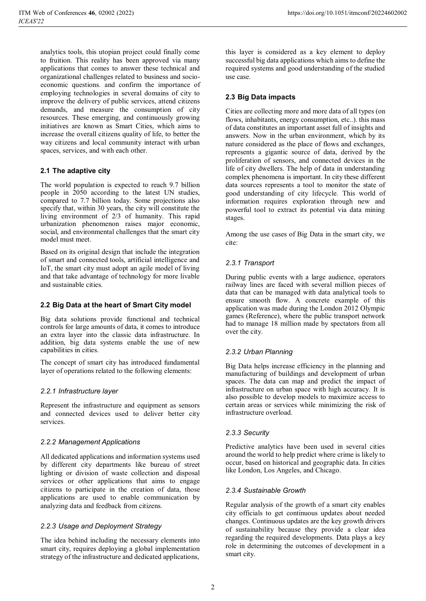analytics tools, this utopian project could finally come to fruition. This reality has been approved via many applications that comes to answer these technical and organizational challenges related to business and socioeconomic questions. and confirm the importance of employing technologies in several domains of city to improve the delivery of public services, attend citizens demands, and measure the consumption of city resources. These emerging, and continuously growing initiatives are known as Smart Cities, which aims to increase the overall citizens quality of life, to better the way citizens and local community interact with urban spaces, services, and with each other.

# **2.1 The adaptive city**

The world population is expected to reach 9.7 billion people in 2050 according to the latest UN studies, compared to 7.7 billion today. Some projections also specify that, within 30 years, the city will constitute the living environment of 2/3 of humanity. This rapid urbanization phenomenon raises major economic, social, and environmental challenges that the smart city model must meet.

Based on its original design that include the integration of smart and connected tools, artificial intelligence and IoT, the smart city must adopt an agile model of living and that take advantage of technology for more livable and sustainable cities.

### **2.2 Big Data at the heart of Smart City model**

Big data solutions provide functional and technical controls for large amounts of data, it comes to introduce an extra layer into the classic data infrastructure. In addition, big data systems enable the use of new capabilities in cities.

The concept of smart city has introduced fundamental layer of operations related to the following elements:

### *2.2.1 Infrastructure layer*

Represent the infrastructure and equipment as sensors and connected devices used to deliver better city services.

### *2.2.2 Management Applications*

All dedicated applications and information systems used by different city departments like bureau of street lighting or division of waste collection and disposal services or other applications that aims to engage citizens to participate in the creation of data, those applications are used to enable communication by analyzing data and feedback from citizens.

### *2.2.3 Usage and Deployment Strategy*

The idea behind including the necessary elements into smart city, requires deploying a global implementation strategy of the infrastructure and dedicated applications,

this layer is considered as a key element to deploy successful big data applications which aims to define the required systems and good understanding of the studied use case.

### **2.3 Big Data impacts**

Cities are collecting more and more data of all types (on flows, inhabitants, energy consumption, etc..). this mass of data constitutes an important asset full of insights and answers. Now in the urban environment, which by its nature considered as the place of flows and exchanges, represents a gigantic source of data, derived by the proliferation of sensors, and connected devices in the life of city dwellers. The help of data in understanding complex phenomena is important. In city these different data sources represents a tool to monitor the state of good understanding of city lifecycle. This world of information requires exploration through new and powerful tool to extract its potential via data mining stages.

Among the use cases of Big Data in the smart city, we cite:

### *2.3.1 Transport*

During public events with a large audience, operators railway lines are faced with several million pieces of data that can be managed with data analytical tools to ensure smooth flow. A concrete example of this application was made during the London 2012 Olympic games (Reference), where the public transport network had to manage 18 million made by spectators from all over the city.

### *2.3.2 Urban Planning*

Big Data helps increase efficiency in the planning and manufacturing of buildings and development of urban spaces. The data can map and predict the impact of infrastructure on urban space with high accuracy. It is also possible to develop models to maximize access to certain areas or services while minimizing the risk of infrastructure overload.

### *2.3.3 Security*

Predictive analytics have been used in several cities around the world to help predict where crime is likely to occur, based on historical and geographic data. In cities like London, Los Angeles, and Chicago.

### *2.3.4 Sustainable Growth*

Regular analysis of the growth of a smart city enables city officials to get continuous updates about needed changes. Continuous updates are the key growth drivers of sustainability because they provide a clear idea regarding the required developments. Data plays a key role in determining the outcomes of development in a smart city.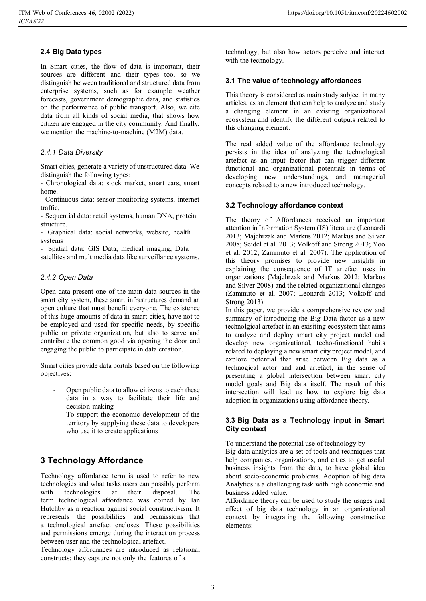### **2.4 Big Data types**

In Smart cities, the flow of data is important, their sources are different and their types too, so we distinguish between traditional and structured data from enterprise systems, such as for example weather forecasts, government demographic data, and statistics on the performance of public transport. Also, we cite data from all kinds of social media, that shows how citizen are engaged in the city community. And finally, we mention the machine-to-machine (M2M) data.

### *2.4.1 Data Diversity*

Smart cities, generate a variety of unstructured data. We distinguish the following types:

- Chronological data: stock market, smart cars, smart home.

- Continuous data: sensor monitoring systems, internet traffic,

- Sequential data: retail systems, human DNA, protein structure.

- Graphical data: social networks, website, health systems

- Spatial data: GIS Data, medical imaging, Data

satellites and multimedia data like surveillance systems.

### *2.4.2 Open Data*

Open data present one of the main data sources in the smart city system, these smart infrastructures demand an open culture that must benefit everyone. The existence of this huge amounts of data in smart cities, have not to be employed and used for specific needs, by specific public or private organization, but also to serve and contribute the common good via opening the door and engaging the public to participate in data creation.

Smart cities provide data portals based on the following objectives:

- Open public data to allow citizens to each these data in a way to facilitate their life and decision-making
- To support the economic development of the territory by supplying these data to developers who use it to create applications

# **3 Technology Affordance**

Technology affordance term is used to refer to new technologies and what tasks users can possibly perform with technologies at their disposal. The term technological affordance was coined by Ian Hutchby as a reaction against social constructivism. It represents the possibilities and permissions that a technological artefact encloses. These possibilities and permissions emerge during the interaction process between user and the technological artefact.

Technology affordances are introduced as relational constructs; they capture not only the features of a

technology, but also how actors perceive and interact with the technology.

### **3.1 The value of technology affordances**

This theory is considered as main study subject in many articles, as an element that can help to analyze and study a changing element in an existing organizational ecosystem and identify the different outputs related to this changing element.

The real added value of the affordance technology persists in the idea of analyzing the technological artefact as an input factor that can trigger different functional and organizational potentials in terms of developing new understandings, and managerial concepts related to a new introduced technology.

### **3.2 Technology affordance context**

The theory of Affordances received an important attention in Information System (IS) literature (Leonardi 2013; Majchrzak and Markus 2012; Markus and Silver 2008; Seidel et al. 2013; Volkoff and Strong 2013; Yoo et al. 2012; Zammuto et al. 2007). The application of this theory promises to provide new insights in explaining the consequence of IT artefact uses in organizations (Majchrzak and Markus 2012; Markus and Silver 2008) and the related organizational changes (Zammuto et al. 2007; Leonardi 2013; Volkoff and Strong 2013).

In this paper, we provide a comprehensive review and summary of introducing the Big Data factor as a new technolgical artefact in an exisiting ecosystem that aims to analyze and deploy smart city project model and develop new organizational, techo-functional habits related to deploying a new smart city project model, and explore potential that arise between Big data as a technogical actor and and artefact, in the sense of presenting a global intersection between smart city model goals and Big data itself. The result of this intersection will lead us how to explore big data adoption in organizations using affordance theory.

### **3.3 Big Data as a Technology input in Smart City context**

To understand the potential use of technology by

Big data analytics are a set of tools and techniques that help companies, organizations, and cities to get useful business insights from the data, to have global idea about socio-economic problems. Adoption of big data Analytics is a challenging task with high economic and business added value.

Affordance theory can be used to study the usages and effect of big data technology in an organizational context by integrating the following constructive elements: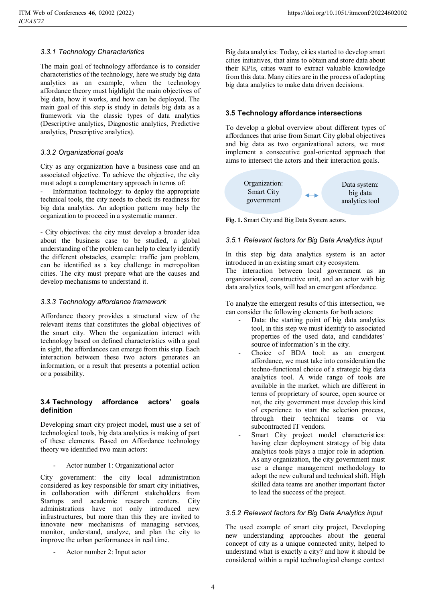### *3.3.1 Technology Characteristics*

The main goal of technology affordance is to consider characteristics of the technology, here we study big data analytics as an example, when the technology affordance theory must highlight the main objectives of big data, how it works, and how can be deployed. The main goal of this step is study in details big data as a framework via the classic types of data analytics (Descriptive analytics, Diagnostic analytics, Predictive analytics, Prescriptive analytics).

### *3.3.2 Organizational goals*

City as any organization have a business case and an associated objective. To achieve the objective, the city must adopt a complementary approach in terms of:

Information technology: to deploy the appropriate technical tools, the city needs to check its readiness for big data analytics. An adoption pattern may help the organization to proceed in a systematic manner.

- City objectives: the city must develop a broader idea about the business case to be studied, a global understanding of the problem can help to clearly identify the different obstacles, example: traffic jam problem, can be identified as a key challenge in metropolitan cities. The city must prepare what are the causes and develop mechanisms to understand it.

### *3.3.3 Technology affordance framework*

Affordance theory provides a structural view of the relevant items that constitutes the global objectives of the smart city. When the organization interact with technology based on defined characteristics with a goal in sight, the affordances can emerge from this step. Each interaction between these two actors generates an information, or a result that presents a potential action or a possibility.

### **3.4 Technology affordance actors' goals definition**

Developing smart city project model, must use a set of technological tools, big data analytics is making of part of these elements. Based on Affordance technology theory we identified two main actors:

Actor number 1: Organizational actor

City government: the city local administration considered as key responsible for smart city initiatives, in collaboration with different stakeholders from Startups and academic research centers. City administrations have not only introduced new infrastructures, but more than this they are invited to innovate new mechanisms of managing services, monitor, understand, analyze, and plan the city to improve the urban performances in real time.

Actor number 2: Input actor

Big data analytics: Today, cities started to develop smart cities initiatives, that aims to obtain and store data about their KPIs, cities want to extract valuable knowledge from this data. Many cities are in the process of adopting big data analytics to make data driven decisions.

### **3.5 Technology affordance intersections**

To develop a global overview about different types of affordances that arise from Smart City global objectives and big data as two organizational actors, we must implement a consecutive goal-oriented approach that aims to intersect the actors and their interaction goals.



**Fig. 1.** Smart City and Big Data System actors.

### *3.5.1 Relevant factors for Big Data Analytics input*

In this step big data analytics system is an actor introduced in an existing smart city ecosystem. The interaction between local government as an

organizational, constructive unit, and an actor with big data analytics tools, will had an emergent affordance.

To analyze the emergent results of this intersection, we can consider the following elements for both actors:

- Data: the starting point of big data analytics tool, in this step we must identify to associated properties of the used data, and candidates' source of information's in the city.
- Choice of BDA tool: as an emergent affordance, we must take into consideration the techno-functional choice of a strategic big data analytics tool. A wide range of tools are available in the market, which are different in terms of proprietary of source, open source or not, the city government must develop this kind of experience to start the selection process, through their technical teams or via subcontracted IT vendors.
- Smart City project model characteristics: having clear deployment strategy of big data analytics tools plays a major role in adoption. As any organization, the city government must use a change management methodology to adopt the new cultural and technical shift. High skilled data teams are another important factor to lead the success of the project.

### *3.5.2 Relevant factors for Big Data Analytics input*

The used example of smart city project, Developing new understanding approaches about the general concept of city as a unique connected unity, helped to understand what is exactly a city? and how it should be considered within a rapid technological change context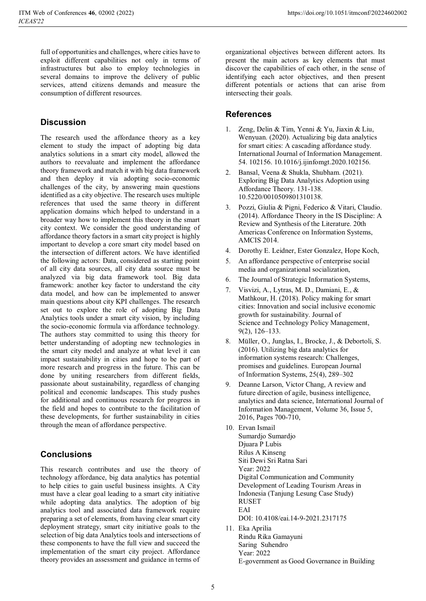full of opportunities and challenges, where cities have to exploit different capabilities not only in terms of infrastructures but also to employ technologies in several domains to improve the delivery of public services, attend citizens demands and measure the consumption of different resources.

# **Discussion**

The research used the affordance theory as a key element to study the impact of adopting big data analytics solutions in a smart city model, allowed the authors to reevaluate and implement the affordance theory framework and match it with big data framework and then deploy it via adopting socio-economic challenges of the city, by answering main questions identified as a city objective. The research uses multiple references that used the same theory in different application domains which helped to understand in a broader way how to implement this theory in the smart city context. We consider the good understanding of affordance theory factors in a smart city project is highly important to develop a core smart city model based on the intersection of different actors. We have identified the following actors: Data, considered as starting point of all city data sources, all city data source must be analyzed via big data framework tool. Big data framework: another key factor to understand the city data model, and how can be implemented to answer main questions about city KPI challenges. The research set out to explore the role of adopting Big Data Analytics tools under a smart city vision, by including the socio-economic formula via affordance technology. The authors stay committed to using this theory for better understanding of adopting new technologies in the smart city model and analyze at what level it can impact sustainability in cities and hope to be part of more research and progress in the future. This can be done by uniting researchers from different fields, passionate about sustainability, regardless of changing political and economic landscapes. This study pushes for additional and continuous research for progress in the field and hopes to contribute to the facilitation of these developments, for further sustainability in cities through the mean of affordance perspective.

# **Conclusions**

This research contributes and use the theory of technology affordance, big data analytics has potential to help cities to gain useful business insights. A City must have a clear goal leading to a smart city initiative while adopting data analytics. The adoption of big analytics tool and associated data framework require preparing a set of elements, from having clear smart city deployment strategy, smart city initiative goals to the selection of big data Analytics tools and intersections of these components to have the full view and succeed the implementation of the smart city project. Affordance theory provides an assessment and guidance in terms of

organizational objectives between different actors. Its present the main actors as key elements that must discover the capabilities of each other, in the sense of identifying each actor objectives, and then present different potentials or actions that can arise from intersecting their goals.

# **References**

- 1. Zeng, Delin & Tim, Yenni & Yu, Jiaxin & Liu, Wenyuan. (2020). Actualizing big data analytics for smart cities: A cascading affordance study. International Journal of Information Management. 54. 102156. 10.1016/j.ijinfomgt.2020.102156.
- 2. Bansal, Veena & Shukla, Shubham. (2021). Exploring Big Data Analytics Adoption using Affordance Theory. 131-138. 10.5220/0010509801310138.
- 3. Pozzi, Giulia & Pigni, Federico & Vitari, Claudio. (2014). Affordance Theory in the IS Discipline: A Review and Synthesis of the Literature. 20th Americas Conference on Information Systems, AMCIS 2014.
- 4. Dorothy E. Leidner, Ester Gonzalez, Hope Koch,
- 5. An affordance perspective of enterprise social media and organizational socialization,
- 6. The Journal of Strategic Information Systems,
- 7. Visvizi, A., Lytras, M. D., Damiani, E., & Mathkour, H. (2018). Policy making for smart cities: Innovation and social inclusive economic growth for sustainability. Journal of Science and Technology Policy Management, 9(2), 126–133.
- 8. Müller, O., Junglas, I., Brocke, J., & Debortoli, S. (2016). Utilizing big data analytics for information systems research: Challenges, promises and guidelines. European Journal of Information Systems, 25(4), 289–302
- 9. Deanne Larson, Victor Chang, A review and future direction of agile, business intelligence, analytics and data science, International Journal of Information Management, Volume 36, Issue 5, 2016, Pages 700-710,
- 10. Ervan Ismail Sumardjo Sumardjo Djuara P Lubis Rilus A Kinseng Siti Dewi Sri Ratna Sari Year: 2022 Digital Communication and Community Development of Leading Tourism Areas in Indonesia (Tanjung Lesung Case Study) RUSET EAI DOI: 10.4108/eai.14-9-2021.2317175 11. Eka Aprilia Rindu Rika Gamayuni
- Saring Suhendro Year: 2022 E-government as Good Governance in Building